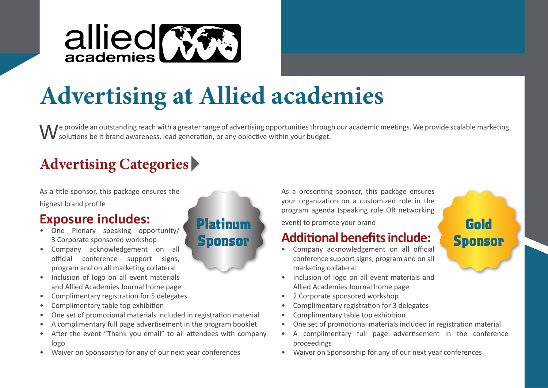

# **Advertising at Allied academies**

Platinum

Sponsor

**A** *I* e provide an outstanding reach with a greater range of advertising opportunities through our academic meetings. We provide scalable marketing solutions be it brand awareness, lead generation, or any objective within your budget.

## **Advertising Categories**

As a title sponsor, this package ensures the

highest brand profile

## **Exposure includes:**

- One Plenary speaking opportunity/ 3 Corporate sponsored workshop
- Company acknowledgement on all official conference support signs, program and on all marketing collateral
- Inclusion of logo on all event materials and Allied Academies Journal home page
- Complimentary registration for 5 delegates
- Complimentary table top exhibition
- One set of promotional materials included in registration material
- A complimentary full page advertisement in the program booklet
- After the event "Thank you email" to all attendees with company logo
- Waiver on Sponsorship for any of our next year conferences

As a presenting sponsor, this package ensures your organization on a customized role in the program agenda (speaking role OR networking

event) to promote your brand

## **Additional benefits include:**

- Company acknowledgement on all official conference support signs, program and on all marketing collateral
- Inclusion of logo on all event materials and Allied Academies Journal home page
- 2 Corporate sponsored workshop
- Complimentary registration for 3 delegates
- Complimentary table top exhibition
- One set of promotional materials included in registration material

Gold

**Sponsor** 

- A complimentary full page advertisement in the conference proceedings
- Waiver on Sponsorship for any of our next year conferences